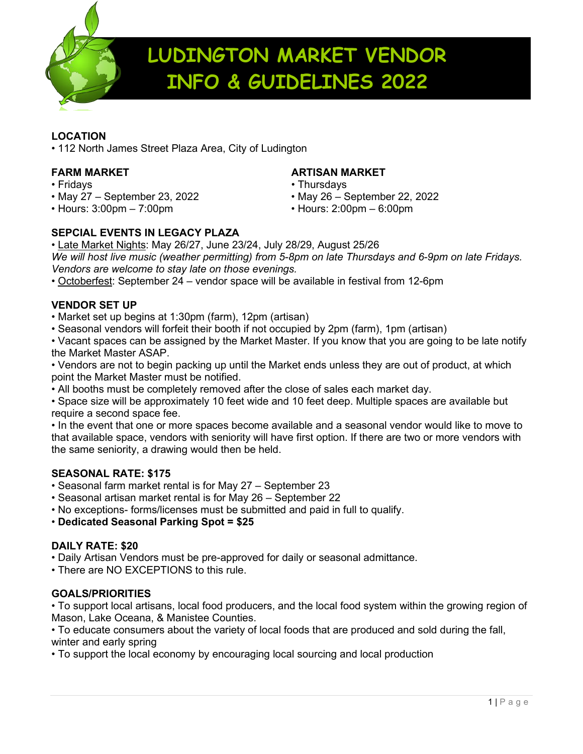

# **LUDINGTON MARKET VENDOR INFO & GUIDELINES 2022**

### **LOCATION**

• 112 North James Street Plaza Area, City of Ludington

- 
- Fridays Thursdays
- Hours: 3:00pm 7:00pm Hours: 2:00pm 6:00pm

## **FARM MARKET ARTISAN MARKET**

- 
- May 27 September 23, 2022 May 26 September 22, 2022
- 

## **SEPCIAL EVENTS IN LEGACY PLAZA**

• Late Market Nights: May 26/27, June 23/24, July 28/29, August 25/26 *We will host live music (weather permitting) from 5-8pm on late Thursdays and 6-9pm on late Fridays. Vendors are welcome to stay late on those evenings.*

• Octoberfest: September 24 – vendor space will be available in festival from 12-6pm

### **VENDOR SET UP**

- Market set up begins at 1:30pm (farm), 12pm (artisan)
- Seasonal vendors will forfeit their booth if not occupied by 2pm (farm), 1pm (artisan)

• Vacant spaces can be assigned by the Market Master. If you know that you are going to be late notify the Market Master ASAP.

• Vendors are not to begin packing up until the Market ends unless they are out of product, at which point the Market Master must be notified.

• All booths must be completely removed after the close of sales each market day.

• Space size will be approximately 10 feet wide and 10 feet deep. Multiple spaces are available but require a second space fee.

• In the event that one or more spaces become available and a seasonal vendor would like to move to that available space, vendors with seniority will have first option. If there are two or more vendors with the same seniority, a drawing would then be held.

### **SEASONAL RATE: \$175**

- Seasonal farm market rental is for May 27 September 23
- Seasonal artisan market rental is for May 26 September 22
- No exceptions- forms/licenses must be submitted and paid in full to qualify.

• **Dedicated Seasonal Parking Spot = \$25**

### **DAILY RATE: \$20**

• Daily Artisan Vendors must be pre-approved for daily or seasonal admittance.

• There are NO EXCEPTIONS to this rule.

### **GOALS/PRIORITIES**

• To support local artisans, local food producers, and the local food system within the growing region of Mason, Lake Oceana, & Manistee Counties.

• To educate consumers about the variety of local foods that are produced and sold during the fall, winter and early spring

• To support the local economy by encouraging local sourcing and local production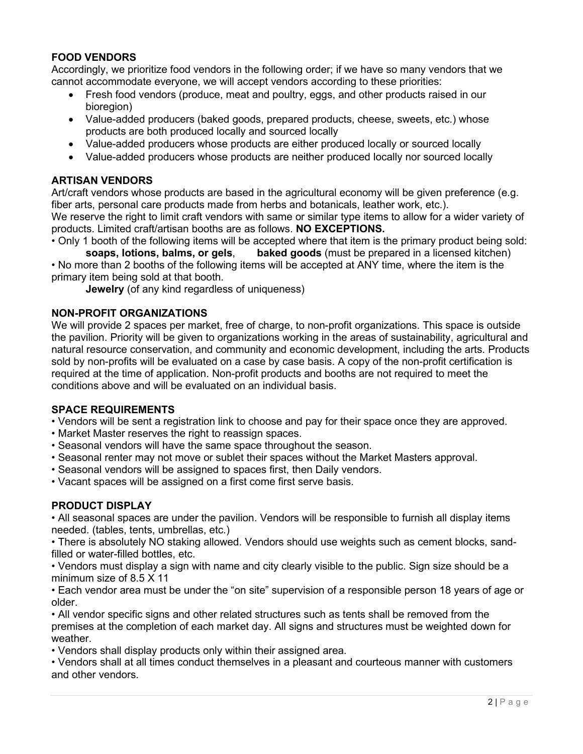#### **FOOD VENDORS**

Accordingly, we prioritize food vendors in the following order; if we have so many vendors that we cannot accommodate everyone, we will accept vendors according to these priorities:

- Fresh food vendors (produce, meat and poultry, eggs, and other products raised in our bioregion)
- Value-added producers (baked goods, prepared products, cheese, sweets, etc.) whose products are both produced locally and sourced locally
- Value-added producers whose products are either produced locally or sourced locally
- Value-added producers whose products are neither produced locally nor sourced locally

#### **ARTISAN VENDORS**

Art/craft vendors whose products are based in the agricultural economy will be given preference (e.g. fiber arts, personal care products made from herbs and botanicals, leather work, etc.). We reserve the right to limit craft vendors with same or similar type items to allow for a wider variety of products. Limited craft/artisan booths are as follows. **NO EXCEPTIONS.**

• Only 1 booth of the following items will be accepted where that item is the primary product being sold:<br>soaps, lotions, balms, or gels. baked goods (must be prepared in a licensed kitchen)

**baked goods** (must be prepared in a licensed kitchen) • No more than 2 booths of the following items will be accepted at ANY time, where the item is the primary item being sold at that booth.

**Jewelry** (of any kind regardless of uniqueness)

#### **NON-PROFIT ORGANIZATIONS**

We will provide 2 spaces per market, free of charge, to non-profit organizations. This space is outside the pavilion. Priority will be given to organizations working in the areas of sustainability, agricultural and natural resource conservation, and community and economic development, including the arts. Products sold by non-profits will be evaluated on a case by case basis. A copy of the non-profit certification is required at the time of application. Non-profit products and booths are not required to meet the conditions above and will be evaluated on an individual basis.

#### **SPACE REQUIREMENTS**

- Vendors will be sent a registration link to choose and pay for their space once they are approved.
- Market Master reserves the right to reassign spaces.
- Seasonal vendors will have the same space throughout the season.
- Seasonal renter may not move or sublet their spaces without the Market Masters approval.
- Seasonal vendors will be assigned to spaces first, then Daily vendors.
- Vacant spaces will be assigned on a first come first serve basis.

#### **PRODUCT DISPLAY**

• All seasonal spaces are under the pavilion. Vendors will be responsible to furnish all display items needed. (tables, tents, umbrellas, etc.)

• There is absolutely NO staking allowed. Vendors should use weights such as cement blocks, sandfilled or water-filled bottles, etc.

• Vendors must display a sign with name and city clearly visible to the public. Sign size should be a minimum size of 8.5 X 11

• Each vendor area must be under the "on site" supervision of a responsible person 18 years of age or older.

• All vendor specific signs and other related structures such as tents shall be removed from the premises at the completion of each market day. All signs and structures must be weighted down for weather.

• Vendors shall display products only within their assigned area.

• Vendors shall at all times conduct themselves in a pleasant and courteous manner with customers and other vendors.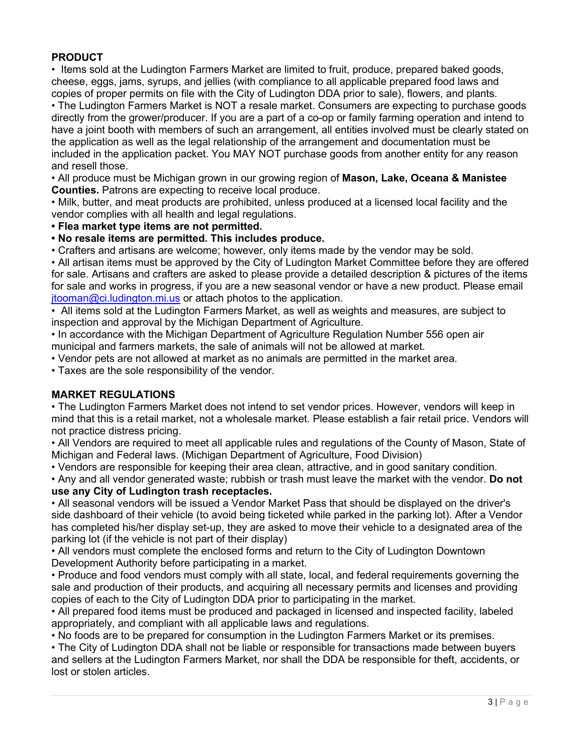#### **PRODUCT**

• Items sold at the Ludington Farmers Market are limited to fruit, produce, prepared baked goods, cheese, eggs, jams, syrups, and jellies (with compliance to all applicable prepared food laws and copies of proper permits on file with the City of Ludington DDA prior to sale), flowers, and plants. • The Ludington Farmers Market is NOT a resale market. Consumers are expecting to purchase goods

directly from the grower/producer. If you are a part of a co-op or family farming operation and intend to have a joint booth with members of such an arrangement, all entities involved must be clearly stated on the application as well as the legal relationship of the arrangement and documentation must be included in the application packet. You MAY NOT purchase goods from another entity for any reason and resell those.

• All produce must be Michigan grown in our growing region of **Mason, Lake, Oceana & Manistee Counties.** Patrons are expecting to receive local produce.

• Milk, butter, and meat products are prohibited, unless produced at a licensed local facility and the vendor complies with all health and legal regulations.

**• Flea market type items are not permitted.**

**• No resale items are permitted. This includes produce.** 

• Crafters and artisans are welcome; however, only items made by the vendor may be sold.

• All artisan items must be approved by the City of Ludington Market Committee before they are offered for sale. Artisans and crafters are asked to please provide a detailed description & pictures of the items for sale and works in progress, if you are a new seasonal vendor or have a new product. Please email [jtooman@ci.ludington.mi.us](mailto:jtooman@ci.ludington.mi.us) or attach photos to the application.

• All items sold at the Ludington Farmers Market, as well as weights and measures, are subject to inspection and approval by the Michigan Department of Agriculture.

• In accordance with the Michigan Department of Agriculture Regulation Number 556 open air municipal and farmers markets, the sale of animals will not be allowed at market.

• Vendor pets are not allowed at market as no animals are permitted in the market area.

• Taxes are the sole responsibility of the vendor.

#### **MARKET REGULATIONS**

• The Ludington Farmers Market does not intend to set vendor prices. However, vendors will keep in mind that this is a retail market, not a wholesale market. Please establish a fair retail price. Vendors will not practice distress pricing.

• All Vendors are required to meet all applicable rules and regulations of the County of Mason, State of Michigan and Federal laws. (Michigan Department of Agriculture, Food Division)

• Vendors are responsible for keeping their area clean, attractive, and in good sanitary condition.

• Any and all vendor generated waste; rubbish or trash must leave the market with the vendor. **Do not use any City of Ludington trash receptacles.**

• All seasonal vendors will be issued a Vendor Market Pass that should be displayed on the driver's side dashboard of their vehicle (to avoid being ticketed while parked in the parking lot). After a Vendor has completed his/her display set-up, they are asked to move their vehicle to a designated area of the parking lot (if the vehicle is not part of their display)

• All vendors must complete the enclosed forms and return to the City of Ludington Downtown Development Authority before participating in a market.

• Produce and food vendors must comply with all state, local, and federal requirements governing the sale and production of their products, and acquiring all necessary permits and licenses and providing copies of each to the City of Ludington DDA prior to participating in the market.

• All prepared food items must be produced and packaged in licensed and inspected facility, labeled appropriately, and compliant with all applicable laws and regulations.

• No foods are to be prepared for consumption in the Ludington Farmers Market or its premises.

• The City of Ludington DDA shall not be liable or responsible for transactions made between buyers and sellers at the Ludington Farmers Market, nor shall the DDA be responsible for theft, accidents, or lost or stolen articles.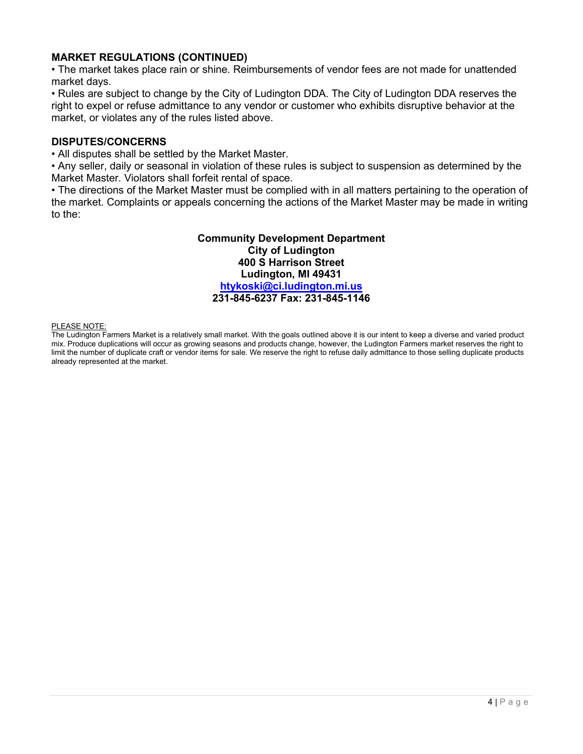#### **MARKET REGULATIONS (CONTINUED)**

• The market takes place rain or shine. Reimbursements of vendor fees are not made for unattended market days.

• Rules are subject to change by the City of Ludington DDA. The City of Ludington DDA reserves the right to expel or refuse admittance to any vendor or customer who exhibits disruptive behavior at the market, or violates any of the rules listed above.

#### **DISPUTES/CONCERNS**

• All disputes shall be settled by the Market Master.

• Any seller, daily or seasonal in violation of these rules is subject to suspension as determined by the Market Master. Violators shall forfeit rental of space.

• The directions of the Market Master must be complied with in all matters pertaining to the operation of the market. Complaints or appeals concerning the actions of the Market Master may be made in writing to the:

> **Community Development Department City of Ludington 400 S Harrison Street Ludington, MI 49431 [htykoski@ci.ludington.mi.us](mailto:htykoski@ci.ludington.mi.us) 231-845-6237 Fax: 231-845-1146**

#### PLEASE NOTE:

The Ludington Farmers Market is a relatively small market. With the goals outlined above it is our intent to keep a diverse and varied product mix. Produce duplications will occur as growing seasons and products change, however, the Ludington Farmers market reserves the right to limit the number of duplicate craft or vendor items for sale. We reserve the right to refuse daily admittance to those selling duplicate products already represented at the market.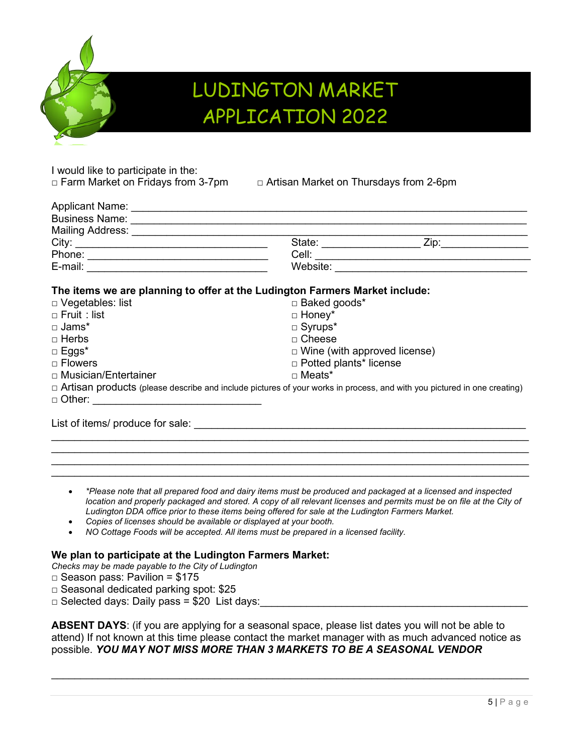

# LUDINGTON MARKET APPLICATION 2022

I would like to participate in the:

□ Farm Market on Fridays from 3-7pm □ Artisan Market on Thursdays from 2-6pm

| City:                                                                                                                          |                                     |                                             |
|--------------------------------------------------------------------------------------------------------------------------------|-------------------------------------|---------------------------------------------|
|                                                                                                                                |                                     |                                             |
|                                                                                                                                |                                     | Website: <u>___________________________</u> |
| The items we are planning to offer at the Ludington Farmers Market include:                                                    |                                     |                                             |
| □ Vegetables: list                                                                                                             | □ Baked goods*                      |                                             |
| $\Box$ Fruit : list                                                                                                            | $\Box$ Honey*                       |                                             |
| $\square$ Jams*                                                                                                                | $\square$ Syrups*                   |                                             |
| $\Box$ Herbs                                                                                                                   | $\Box$ Cheese                       |                                             |
| $\Box$ Eggs*                                                                                                                   | $\Box$ Wine (with approved license) |                                             |
| $\Box$ Flowers                                                                                                                 | □ Potted plants* license            |                                             |
| □ Musician/Entertainer                                                                                                         | □ Meats*                            |                                             |
| $\Box$ Artisan products (please describe and include pictures of your works in process, and with you pictured in one creating) |                                     |                                             |
| □ Other: <u>____________________</u>                                                                                           |                                     |                                             |
| List of items/ produce for sale:                                                                                               |                                     |                                             |

• *\*Please note that all prepared food and dairy items must be produced and packaged at a licensed and inspected location and properly packaged and stored. A copy of all relevant licenses and permits must be on file at the City of Ludington DDA office prior to these items being offered for sale at the Ludington Farmers Market.*

\_\_\_\_\_\_\_\_\_\_\_\_\_\_\_\_\_\_\_\_\_\_\_\_\_\_\_\_\_\_\_\_\_\_\_\_\_\_\_\_\_\_\_\_\_\_\_\_\_\_\_\_\_\_\_\_\_\_\_\_\_\_\_\_\_\_\_\_\_\_\_\_\_\_\_\_\_\_\_\_\_\_ \_\_\_\_\_\_\_\_\_\_\_\_\_\_\_\_\_\_\_\_\_\_\_\_\_\_\_\_\_\_\_\_\_\_\_\_\_\_\_\_\_\_\_\_\_\_\_\_\_\_\_\_\_\_\_\_\_\_\_\_\_\_\_\_\_\_\_\_\_\_\_\_\_\_\_\_\_\_\_\_\_\_  $\_$  ,  $\_$  ,  $\_$  ,  $\_$  ,  $\_$  ,  $\_$  ,  $\_$  ,  $\_$  ,  $\_$  ,  $\_$  ,  $\_$  ,  $\_$  ,  $\_$  ,  $\_$  ,  $\_$  ,  $\_$  ,  $\_$  ,  $\_$  ,  $\_$  ,  $\_$  ,  $\_$  ,  $\_$  ,  $\_$  ,  $\_$  ,  $\_$  ,  $\_$  ,  $\_$  ,  $\_$  ,  $\_$  ,  $\_$  ,  $\_$  ,  $\_$  ,  $\_$  ,  $\_$  ,  $\_$  ,  $\_$  ,  $\_$  ,  $\_$  ,  $\_$  ,  $\_$  ,  $\_$  ,  $\_$  ,  $\_$  ,  $\_$  ,  $\_$  ,  $\_$  ,  $\_$  ,  $\_$  ,  $\_$  ,  $\_$  ,  $\_$  ,  $\_$  ,  $\_$  ,  $\_$  ,  $\_$  ,  $\_$  ,  $\_$  ,  $\_$  ,  $\_$  ,  $\_$  ,  $\_$  ,  $\_$  ,  $\_$  ,  $\_$  ,  $\_$  ,  $\_$  ,  $\_$  ,  $\_$  ,  $\_$  ,  $\_$  ,  $\_$  ,  $\_$  ,  $\_$  ,  $\_$  ,

- *Copies of licenses should be available or displayed at your booth.*
- *NO Cottage Foods will be accepted. All items must be prepared in a licensed facility.*

#### **We plan to participate at the Ludington Farmers Market:**

- *Checks may be made payable to the City of Ludington*
- $\Box$  Season pass: Pavilion = \$175
- □ Seasonal dedicated parking spot: \$25
- $\Box$  Selected days: Daily pass = \$20 List days:

**ABSENT DAYS**: (if you are applying for a seasonal space, please list dates you will not be able to attend) If not known at this time please contact the market manager with as much advanced notice as possible. *YOU MAY NOT MISS MORE THAN 3 MARKETS TO BE A SEASONAL VENDOR*

 $\_$  ,  $\_$  ,  $\_$  ,  $\_$  ,  $\_$  ,  $\_$  ,  $\_$  ,  $\_$  ,  $\_$  ,  $\_$  ,  $\_$  ,  $\_$  ,  $\_$  ,  $\_$  ,  $\_$  ,  $\_$  ,  $\_$  ,  $\_$  ,  $\_$  ,  $\_$  ,  $\_$  ,  $\_$  ,  $\_$  ,  $\_$  ,  $\_$  ,  $\_$  ,  $\_$  ,  $\_$  ,  $\_$  ,  $\_$  ,  $\_$  ,  $\_$  ,  $\_$  ,  $\_$  ,  $\_$  ,  $\_$  ,  $\_$  ,